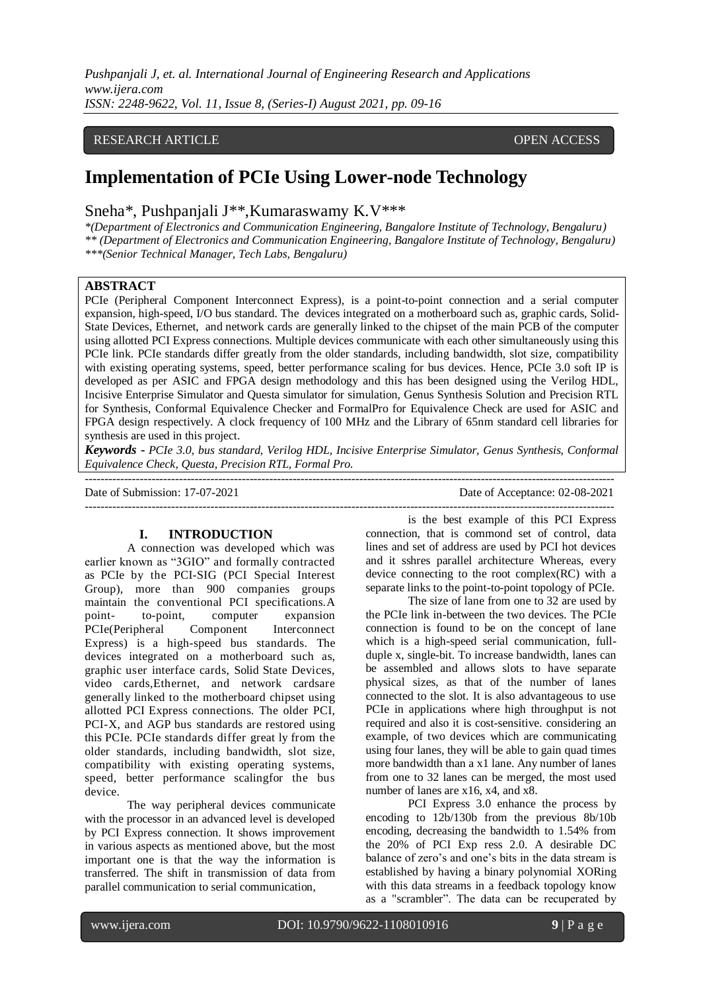## RESEARCH ARTICLE **CONSERVERS** OPEN ACCESS

# **Implementation of PCIe Using Lower-node Technology**

Sneha\*, Pushpanjali J\*\*,Kumaraswamy K.V\*\*\*

*\*(Department of Electronics and Communication Engineering, Bangalore Institute of Technology, Bengaluru) \*\* (Department of Electronics and Communication Engineering, Bangalore Institute of Technology, Bengaluru) \*\*\*(Senior Technical Manager, Tech Labs, Bengaluru)*

#### **ABSTRACT**

PCIe (Peripheral Component Interconnect Express), is a point-to-point connection and a serial computer expansion, high-speed, I/O bus standard. The devices integrated on a [motherboard su](https://en.wikipedia.org/wiki/Motherboard)ch as, [graphic cards,](https://en.wikipedia.org/wiki/Video_card) [Solid-](https://en.wikipedia.org/wiki/Solid-state_drive)[State Devices,](https://en.wikipedia.org/wiki/Solid-state_drive) Ethernet, and network cards are generally linked to the chipset of the main PCB of the computer using allotted PCI Express connections. Multiple devices communicate with each other simultaneously using this PCIe link. PCIe standards differ greatly from the older standards, including bandwidth, slot size, compatibility with existing operating systems, speed, better performance scaling for bus devices. Hence, PCIe 3.0 soft IP is developed as per ASIC and FPGA design methodology and this has been designed using the Verilog HDL, Incisive Enterprise Simulator and Questa simulator for simulation, Genus Synthesis Solution and Precision RTL for Synthesis, Conformal Equivalence Checker and FormalPro for Equivalence Check are used for ASIC and FPGA design respectively. A clock frequency of 100 MHz and the Library of 65nm standard cell libraries for synthesis are used in this project.

*Keywords* **-** *PCIe 3.0, bus standard, Verilog HDL, Incisive Enterprise Simulator, Genus Synthesis, Conformal Equivalence Check, Questa, Precision RTL, Formal Pro.* ---------------------------------------------------------------------------------------------------------------------------------------

Date of Submission: 17-07-2021 Date of Acceptance: 02-08-2021 ---------------------------------------------------------------------------------------------------------------------------------------

# **I. INTRODUCTION**

A connection was developed which was earlier known as "3GIO" and formally contracted as PCIe by the PCI-SIG (PCI [Special Interest](https://en.wikipedia.org/wiki/Special_Interest_Group) [Group\)](https://en.wikipedia.org/wiki/Special_Interest_Group), more than 900 companies groups maintain the [conventional](https://en.wikipedia.org/wiki/Conventional_PCI) PCI specifications. A point-<br>to-point, computer expansion to-point, computer expansion PCIe(Peripheral Component Interconnect Express) is a high-speed bus standards. The devices integrated on a [motherboard](https://en.wikipedia.org/wiki/Motherboard) such as, [graphic user](https://en.wikipedia.org/wiki/Video_card) [interface cards,](https://en.wikipedia.org/wiki/Video_card) [Solid State Devices,](https://en.wikipedia.org/wiki/Solid-state_drive) video cards,Ethernet, and network cardsare generally linked to the motherboard chipset using allotted PCI Express connections. The older [PCI,](https://en.wikipedia.org/wiki/Conventional_PCI)  [PCI-X, a](https://en.wikipedia.org/wiki/Conventional_PCI)nd [AGP](https://en.wikipedia.org/wiki/Accelerated_Graphics_Port) bus standards are restored using this PCIe. PCIe standards differ great ly from the older standards, including bandwidth, slot size, compatibility with existing operating systems, speed, better performance scalingfor the bus device.

The way peripheral devices communicate with the processor in an advanced level is developed by PCI Express connection. It shows improvement in various aspects as mentioned above, but the most important one is that the way the information is transferred. The shift in transmission of data from parallel communication to serial communication,

is the best example of this PCI Express connection, that is commond set of control, data lines and set of address are used by PCI hot devices and it sshres parallel architecture Whereas, every device connecting to the root complex(RC) with a separate links to the point-to-point topology of PCIe.

The size of lane from one to 32 are used by the PCIe link in-between the two devices. The PCIe connection is found to be on the concept of lane which is a high-speed serial communication, fullduple x, single-bit. To increase bandwidth, lanes can be assembled and allows slots to have separate physical sizes, as that of the number of lanes connected to the slot. It is also advantageous to use PCIe in applications where high throughput is not required and also it is cost-sensitive. considering an example, of two devices which are communicating using four lanes, they will be able to gain quad times more bandwidth than a x1 lane. Any number of lanes from one to 32 lanes can be merged, the most used number of lanes are x16, x4, and x8.

PCI Express 3.0 enhance the process by encoding to 12b/130b from the previous 8b/10b encoding, decreasing the bandwidth to 1.54% from the 20% of PCI Exp ress 2.0. A desirable DC balance of zero's and one's bits in the data stream is established by having a binary polynomial XORing with this data streams in a feedback topology know as a "scrambler". The data can be recuperated by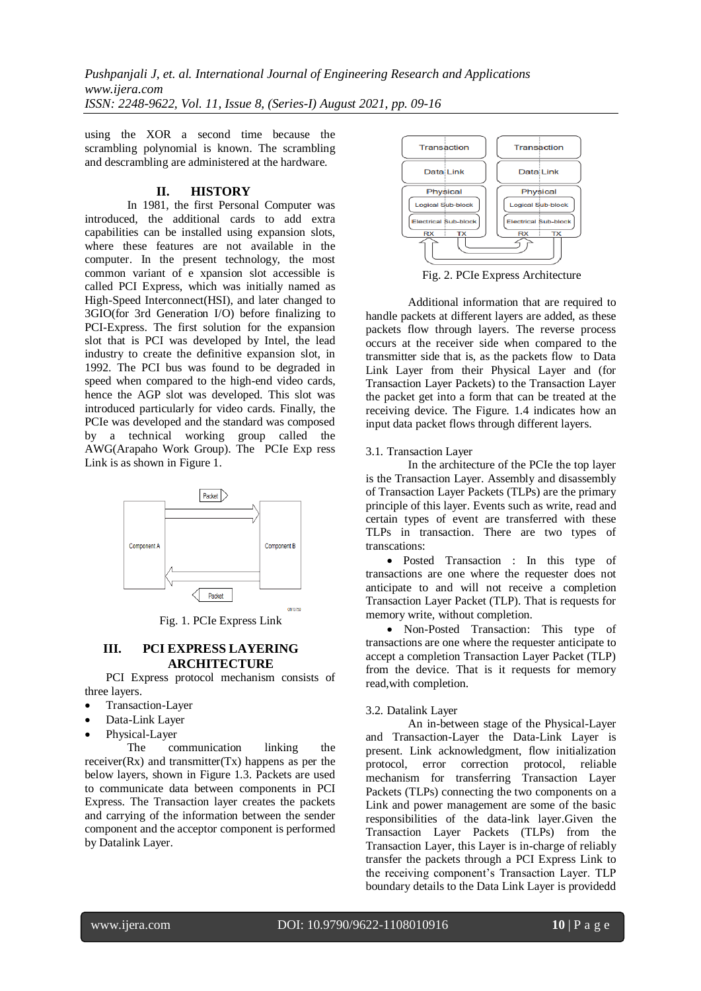using the XOR a second time because the scrambling polynomial is known. The scrambling and descrambling are administered at the hardware.

# **II. HISTORY**

In 1981, the first Personal Computer was introduced, the additional cards to add extra capabilities can be installed using expansion slots, where these features are not available in the computer. In the present technology, the most common variant of e xpansion slot accessible is called PCI Express, which was initially named as High-Speed Interconnect(HSI), and later changed to 3GIO(for 3rd Generation I/O) before finalizing to PCI-Express. The first solution for the expansion slot that is PCI was developed by Intel, the lead industry to create the definitive expansion slot, in 1992. The PCI bus was found to be degraded in speed when compared to the high-end video cards, hence the AGP slot was developed. This slot was introduced particularly for video cards. Finally, the PCIe was developed and the standard was composed by a technical working group called the AWG(Arapaho Work Group). The PCIe Exp ress Link is as shown in Figure 1.



Fig. 1. PCIe Express Link

## **III. PCI EXPRESS LAYERING ARCHITECTURE**

PCI Express protocol mechanism consists of three layers.

- Transaction-Layer
- Data-Link Layer
- Physical-Layer

The communication linking the  $receiver(Rx)$  and transmitter $(Tx)$  happens as per the below layers, shown in Figure 1.3. Packets are used to communicate data between components in PCI Express. The Transaction layer creates the packets and carrying of the information between the sender component and the acceptor component is performed by Datalink Layer.



Fig. 2. PCIe Express Architecture

Additional information that are required to handle packets at different layers are added, as these packets flow through layers. The reverse process occurs at the receiver side when compared to the transmitter side that is, as the packets flow to Data Link Layer from their Physical Layer and (for Transaction Layer Packets) to the Transaction Layer the packet get into a form that can be treated at the receiving device. The Figure. 1.4 indicates how an input data packet flows through different layers.

## 3.1. Transaction Layer

In the architecture of the PCIe the top layer is the Transaction Layer. Assembly and disassembly of Transaction Layer Packets (TLPs) are the primary principle of this layer. Events such as write, read and certain types of event are transferred with these TLPs in transaction. There are two types of transcations:

• Posted Transaction : In this type of transactions are one where the requester does not anticipate to and will not receive a completion Transaction Layer Packet (TLP). That is requests for memory write, without completion.

 Non-Posted Transaction: This type of transactions are one where the requester anticipate to accept a completion Transaction Layer Packet (TLP) from the device. That is it requests for memory read,with completion.

# 3.2. Datalink Layer

An in-between stage of the Physical-Layer and Transaction-Layer the Data-Link Layer is present. Link acknowledgment, flow initialization protocol, error correction protocol, reliable mechanism for transferring Transaction Layer Packets (TLPs) connecting the two components on a Link and power management are some of the basic responsibilities of the data-link layer.Given the Transaction Layer Packets (TLPs) from the Transaction Layer, this Layer is in-charge of reliably transfer the packets through a PCI Express Link to the receiving component's Transaction Layer. TLP boundary details to the Data Link Layer is providedd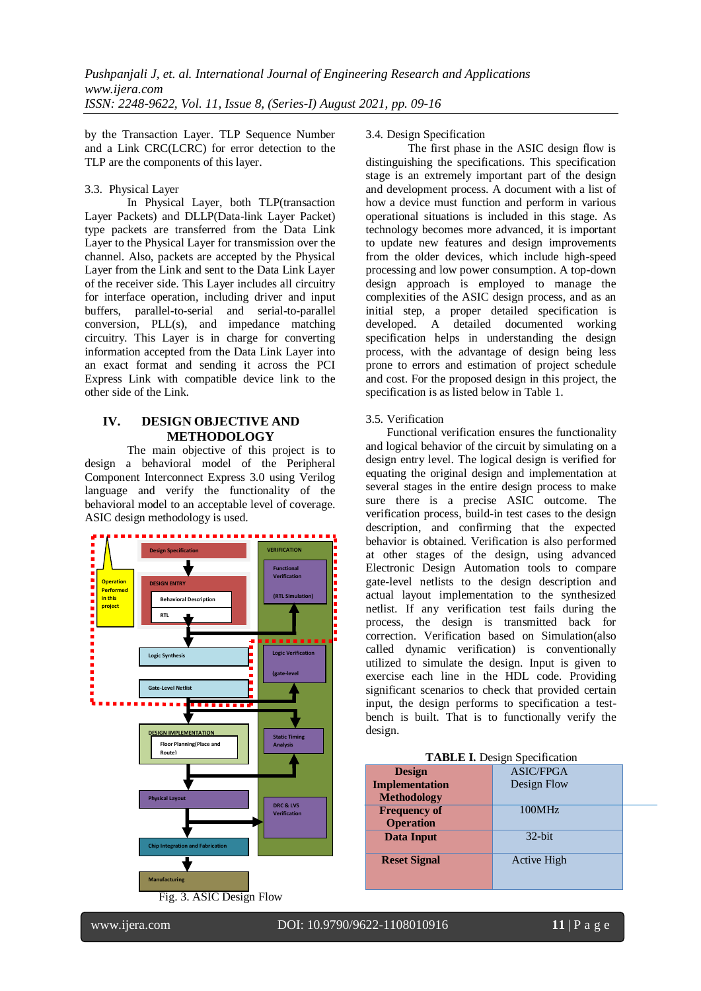by the Transaction Layer. TLP Sequence Number and a Link CRC(LCRC) for error detection to the TLP are the components of this layer.

## 3.3. Physical Layer

In Physical Layer, both TLP(transaction Layer Packets) and DLLP(Data-link Layer Packet) type packets are transferred from the Data Link Layer to the Physical Layer for transmission over the channel. Also, packets are accepted by the Physical Layer from the Link and sent to the Data Link Layer of the receiver side. This Layer includes all circuitry for interface operation, including driver and input buffers, parallel-to-serial and serial-to-parallel conversion, PLL(s), and impedance matching circuitry. This Layer is in charge for converting information accepted from the Data Link Layer into an exact format and sending it across the PCI Express Link with compatible device link to the other side of the Link.

## **IV. DESIGN OBJECTIVE AND METHODOLOGY**

The main objective of this project is to design a behavioral model of the Peripheral Component Interconnect Express 3.0 using Verilog language and verify the functionality of the behavioral model to an acceptable level of coverage. ASIC design methodology is used.



## 3.4. Design Specification

The first phase in the ASIC design flow is distinguishing the specifications. This specification stage is an extremely important part of the design and development process. A document with a list of how a device must function and perform in various operational situations is included in this stage. As technology becomes more advanced, it is important to update new features and design improvements from the older devices, which include high-speed processing and low power consumption. A top-down design approach is employed to manage the complexities of the ASIC design process, and as an initial step, a proper detailed specification is developed. A detailed documented working specification helps in understanding the design process, with the advantage of design being less prone to errors and estimation of project schedule and cost. For the proposed design in this project, the specification is as listed below in Table 1.

# 3.5. Verification

Functional verification ensures the functionality and logical behavior of the circuit by simulating on a design entry level. The logical design is verified for equating the original design and implementation at several stages in the entire design process to make sure there is a precise ASIC outcome. The verification process, build-in test cases to the design description, and confirming that the expected behavior is obtained. Verification is also performed at other stages of the design, using advanced Electronic Design Automation tools to compare gate-level netlists to the design description and actual layout implementation to the synthesized netlist. If any verification test fails during the process, the design is transmitted back for correction. Verification based on Simulation(also called dynamic verification) is conventionally utilized to simulate the design. Input is given to exercise each line in the HDL code. Providing significant scenarios to check that provided certain input, the design performs to specification a testbench is built. That is to functionally verify the design.

## **TABLE I.** Design Specification

| <b>Design</b>         | <b>ASIC/FPGA</b>   |  |
|-----------------------|--------------------|--|
| <b>Implementation</b> | Design Flow        |  |
| <b>Methodology</b>    |                    |  |
| <b>Frequency of</b>   | 100MHz             |  |
| <b>Operation</b>      |                    |  |
| Data Input            | $32$ -bit          |  |
| <b>Reset Signal</b>   | <b>Active High</b> |  |
|                       |                    |  |
|                       |                    |  |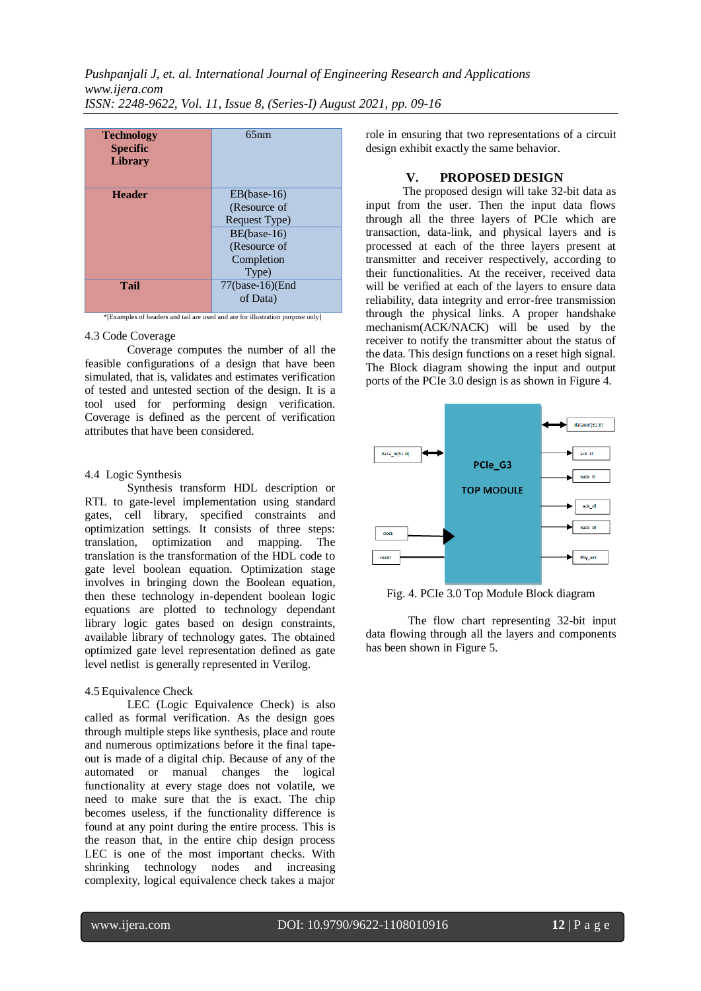| <b>Technology</b><br><b>Specific</b><br><b>Library</b> | 65nm                                                                                                 |
|--------------------------------------------------------|------------------------------------------------------------------------------------------------------|
| <b>Header</b>                                          | $EB(base-16)$<br>(Resource of<br>Request Type)<br>BE(base-16)<br>(Resource of<br>Completion<br>Type) |
| <b>Tail</b>                                            | 77(base-16)(End<br>of Data)                                                                          |

\*[Examples of headers and tail are used and are for illustration purpose only]

#### 4.3 Code Coverage

Coverage computes the number of all the feasible configurations of a design that have been simulated, that is, validates and estimates verification of tested and untested section of the design. It is a tool used for performing design verification. Coverage is defined as the percent of verification attributes that have been considered.

## 4.4 Logic Synthesis

Synthesis transform HDL description or RTL to gate-level implementation using standard gates, cell library, specified constraints and optimization settings. It consists of three steps: translation, optimization and mapping. The translation is the transformation of the HDL code to gate level boolean equation. Optimization stage involves in bringing down the Boolean equation, then these technology in-dependent boolean logic equations are plotted to technology dependant library logic gates based on design constraints, available library of technology gates. The obtained optimized gate level representation defined as gate level netlist is generally represented in Verilog.

## 4.5 Equivalence Check

LEC (Logic Equivalence Check) is also called as formal verification. As the design goes through multiple steps like synthesis, place and route and numerous optimizations before it the final tapeout is made of a digital chip. Because of any of the automated or manual changes the logical functionality at every stage does not volatile, we need to make sure that the is exact. The chip becomes useless, if the functionality difference is found at any point during the entire process. This is the reason that, in the entire chip design process LEC is one of the most important checks. With shrinking technology nodes and increasing complexity, logical equivalence check takes a major

role in ensuring that two representations of a circuit design exhibit exactly the same behavior.

#### **V. PROPOSED DESIGN**

The proposed design will take 32-bit data as input from the user. Then the input data flows through all the three layers of PCIe which are transaction, data-link, and physical layers and is processed at each of the three layers present at transmitter and receiver respectively, according to their functionalities. At the receiver, received data will be verified at each of the layers to ensure data reliability, data integrity and error-free transmission through the physical links. A proper handshake mechanism(ACK/NACK) will be used by the receiver to notify the transmitter about the status of the data. This design functions on a reset high signal. The Block diagram showing the input and output ports of the PCIe 3.0 design is as shown in Figure 4.



Fig. 4. PCIe 3.0 Top Module Block diagram

The flow chart representing 32-bit input data flowing through all the layers and components has been shown in Figure 5.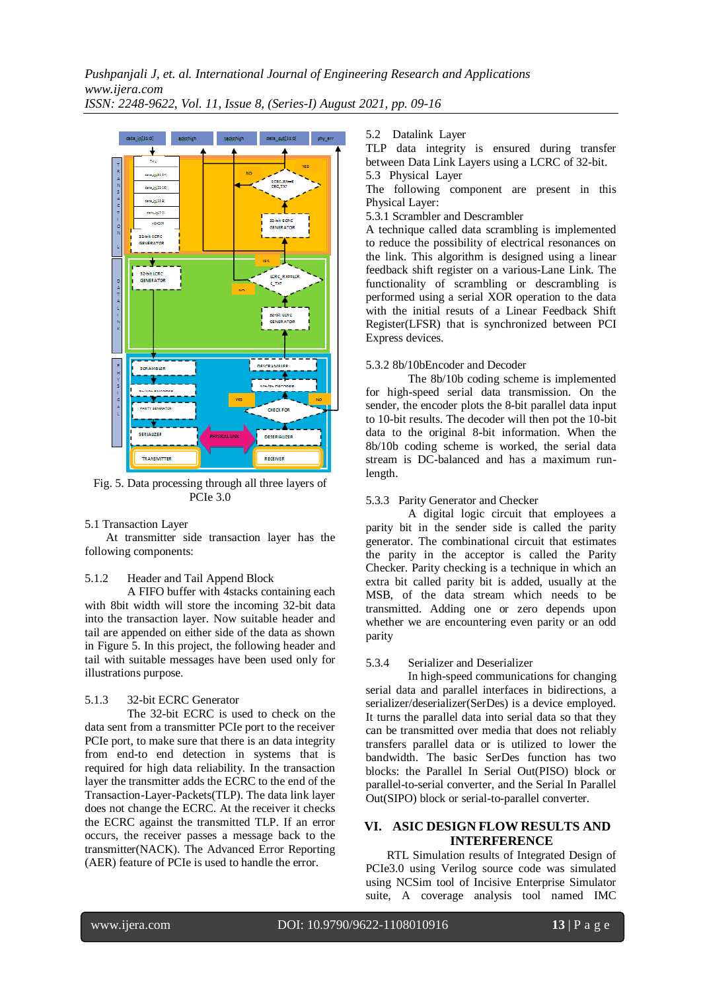

Fig. 5. Data processing through all three layers of PCIe 3.0

#### 5.1 Transaction Layer

At transmitter side transaction layer has the following components:

## 5.1.2 Header and Tail Append Block

A FIFO buffer with 4stacks containing each with 8bit width will store the incoming 32-bit data into the transaction layer. Now suitable header and tail are appended on either side of the data as shown in Figure 5. In this project, the following header and tail with suitable messages have been used only for illustrations purpose.

## 5.1.3 32-bit ECRC Generator

The 32-bit ECRC is used to check on the data sent from a transmitter PCIe port to the receiver PCIe port, to make sure that there is an data integrity from end-to end detection in systems that is required for high data reliability. In the transaction layer the transmitter adds the ECRC to the end of the Transaction-Layer-Packets(TLP). The data link layer does not change the ECRC. At the receiver it checks the ECRC against the transmitted TLP. If an error occurs, the receiver passes a message back to the transmitter(NACK). The Advanced Error Reporting (AER) feature of PCIe is used to handle the error.

5.2 Datalink Layer

TLP data integrity is ensured during transfer between Data Link Layers using a LCRC of 32-bit.

5.3 Physical Layer

The following component are present in this Physical Layer:

5.3.1 Scrambler and Descrambler

A technique called data scrambling is implemented to reduce the possibility of electrical resonances on the link. This algorithm is designed using a linear feedback shift register on a various-Lane Link. The functionality of scrambling or descrambling is performed using a serial XOR operation to the data with the initial resuts of a Linear Feedback Shift Register(LFSR) that is synchronized between PCI Express devices.

#### 5.3.2 8b/10bEncoder and Decoder

The 8b/10b coding scheme is implemented for high-speed serial data transmission. On the sender, the encoder plots the 8-bit parallel data input to 10-bit results. The decoder will then pot the 10-bit data to the original 8-bit information. When the 8b/10b coding scheme is worked, the serial data stream is DC-balanced and has a maximum runlength.

#### 5.3.3 Parity Generator and Checker

A digital logic circuit that employees a parity bit in the sender side is called the parity generator. The combinational circuit that estimates the parity in the acceptor is called the Parity Checker. Parity checking is a technique in which an extra bit called parity bit is added, usually at the MSB, of the data stream which needs to be transmitted. Adding one or zero depends upon whether we are encountering even parity or an odd parity

#### 5.3.4 Serializer and Deserializer

In high-speed communications for changing serial data and parallel interfaces in bidirections, a serializer/deserializer(SerDes) is a device employed. It turns the parallel data into serial data so that they can be transmitted over media that does not reliably transfers parallel data or is utilized to lower the bandwidth. The basic SerDes function has two blocks: the Parallel In Serial Out(PISO) block or parallel-to-serial converter, and the Serial In Parallel Out(SIPO) block or serial-to-parallel converter.

## **VI. ASIC DESIGN FLOW RESULTS AND INTERFERENCE**

RTL Simulation results of Integrated Design of PCIe3.0 using Verilog source code was simulated using NCSim tool of Incisive Enterprise Simulator suite, A coverage analysis tool named IMC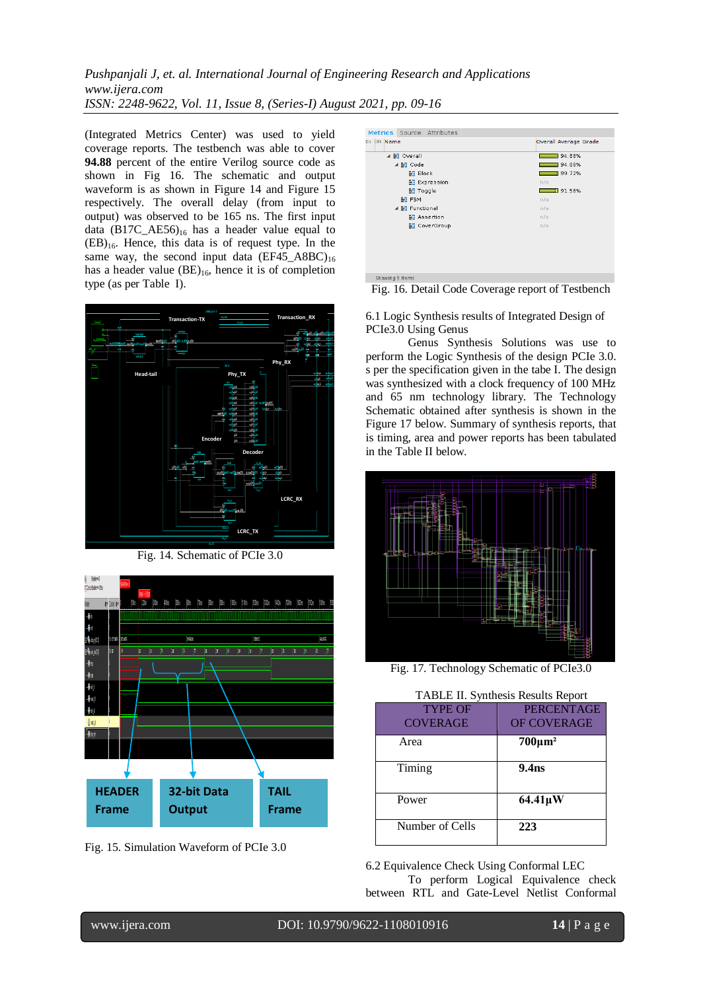(Integrated Metrics Center) was used to yield coverage reports. The testbench was able to cover **94.88** percent of the entire Verilog source code as shown in Fig 16. The schematic and output waveform is as shown in Figure 14 and Figure 15 respectively. The overall delay (from input to output) was observed to be 165 ns. The first input data  $(B17C_{A}E56)_{16}$  has a header value equal to  $(EB)_{16}$ . Hence, this data is of request type. In the same way, the second input data  $(EF45_A8BC)_{16}$ has a header value  $(BE)_{16}$ , hence it is of completion type (as per Table I).



Fig. 14. Schematic of PCIe 3.0



Fig. 15. Simulation Waveform of PCIe 3.0

| Metrics Source Attributes              |                       |
|----------------------------------------|-----------------------|
| <b>X UNB</b> Name                      | Overall Average Grade |
| $\blacktriangle$ $\frac{1}{2}$ Overall | 94.88%                |
| ⊿ M Code                               | 94.88%                |
| ₩ Block                                | $-199.72%$            |
| <b>N</b> Expression                    | n/a                   |
| <b>M</b> Toggle                        | 91.58%                |
| <b>BE FSM</b>                          | nfa                   |
| ▲ 블로 Functional                        | n/a                   |
| <b>N</b> Assertion                     | n/a                   |
| <b>No</b> CoverGroup                   | n/a                   |
|                                        |                       |
|                                        |                       |
|                                        |                       |
|                                        |                       |
|                                        |                       |
| Showing 9 items                        |                       |
|                                        |                       |

Fig. 16. Detail Code Coverage report of Testbench

6.1 Logic Synthesis results of Integrated Design of PCIe3.0 Using Genus

Genus Synthesis Solutions was use to perform the Logic Synthesis of the design PCIe 3.0. s per the specification given in the tabe I. The design was synthesized with a clock frequency of 100 MHz and 65 nm technology library. The Technology Schematic obtained after synthesis is shown in the Figure 17 below. Summary of synthesis reports, that is timing, area and power reports has been tabulated in the Table II below.



Fig. 17. Technology Schematic of PCIe3.0

| TABLE II. Synthesis Results Report |  |  |  |  |
|------------------------------------|--|--|--|--|
|------------------------------------|--|--|--|--|

| <b>TYPE OF</b>  | <b>PERCENTAGE</b>  |
|-----------------|--------------------|
| <b>COVERAGE</b> | <b>OF COVERAGE</b> |
| Area            | $700 \mu m^2$      |
| Timing          | 9.4 <sub>ns</sub>  |
| Power           | $64.41 \mu W$      |
| Number of Cells | 223                |

6.2 Equivalence Check Using Conformal LEC To perform Logical Equivalence check between RTL and Gate-Level Netlist Conformal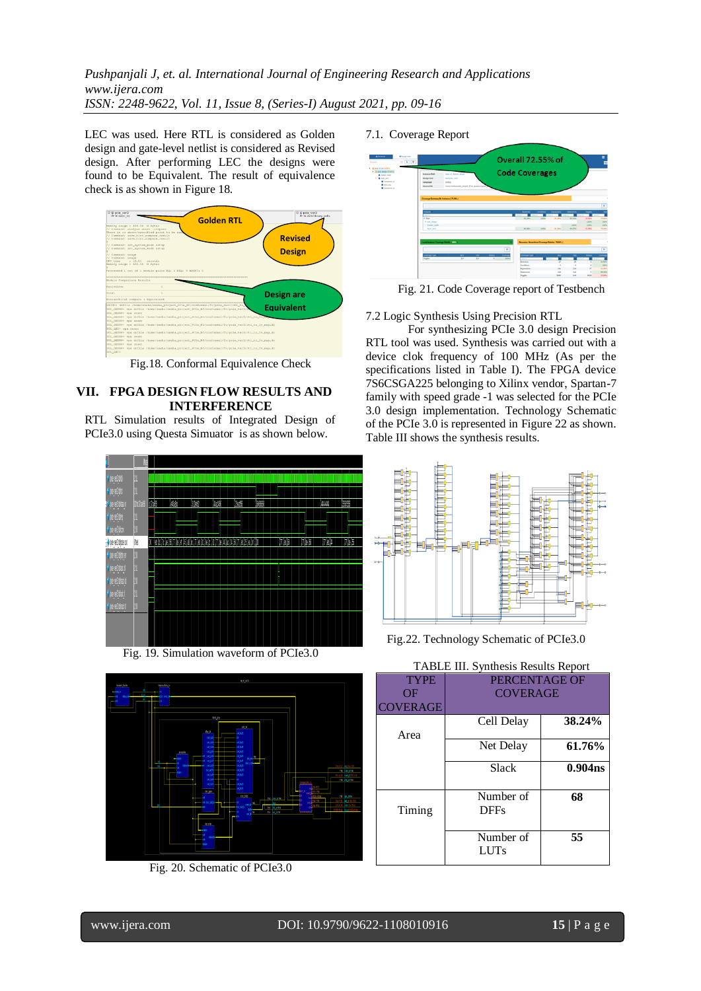LEC was used. Here RTL is considered as Golden design and gate-level netlist is considered as Revised design. After performing LEC the designs were found to be Equivalent. The result of equivalence check is as shown in Figure 18.



Fig.18. Conformal Equivalence Check

## **VII. FPGA DESIGN FLOW RESULTS AND INTERFERENCE**

RTL Simulation results of Integrated Design of PCIe3.0 using Questa Simuator is as shown below.



Fig. 19. Simulation waveform of PCIe3.0



Fig. 20. Schematic of PCIe3.0

## 7.1. Coverage Report



Fig. 21. Code Coverage report of Testbench

7.2 Logic Synthesis Using Precision RTL

For synthesizing PCIe 3.0 design Precision RTL tool was used. Synthesis was carried out with a device clok frequency of 100 MHz (As per the specifications listed in Table I). The FPGA device 7S6CSGA225 belonging to Xilinx vendor, Spartan-7 family with speed grade -1 was selected for the PCIe 3.0 design implementation. Technology Schematic of the PCIe 3.0 is represented in Figure 22 as shown. Table III shows the synthesis results.



Fig.22. Technology Schematic of PCIe3.0

| 11 <b>IDLL</b> III. D'IRTHOIS ROSGIES ROPORT |                 |                     |
|----------------------------------------------|-----------------|---------------------|
| <b>TYPE</b>                                  | PERCENTAGE OF   |                     |
| ΟF                                           | <b>COVERAGE</b> |                     |
| <b>COVERAGE</b>                              |                 |                     |
|                                              | Cell Delay      | 38.24%              |
| Area                                         |                 |                     |
|                                              | Net Delay       | 61.76%              |
|                                              | Slack           | 0.904 <sub>ns</sub> |
|                                              |                 |                     |
|                                              |                 |                     |
|                                              | Number of       | 68                  |
| Timing                                       | <b>DFFs</b>     |                     |
|                                              |                 |                     |
|                                              | Number of       | 55                  |
|                                              | <b>LUTs</b>     |                     |
|                                              |                 |                     |

TABLE III. Synthesis Results Report